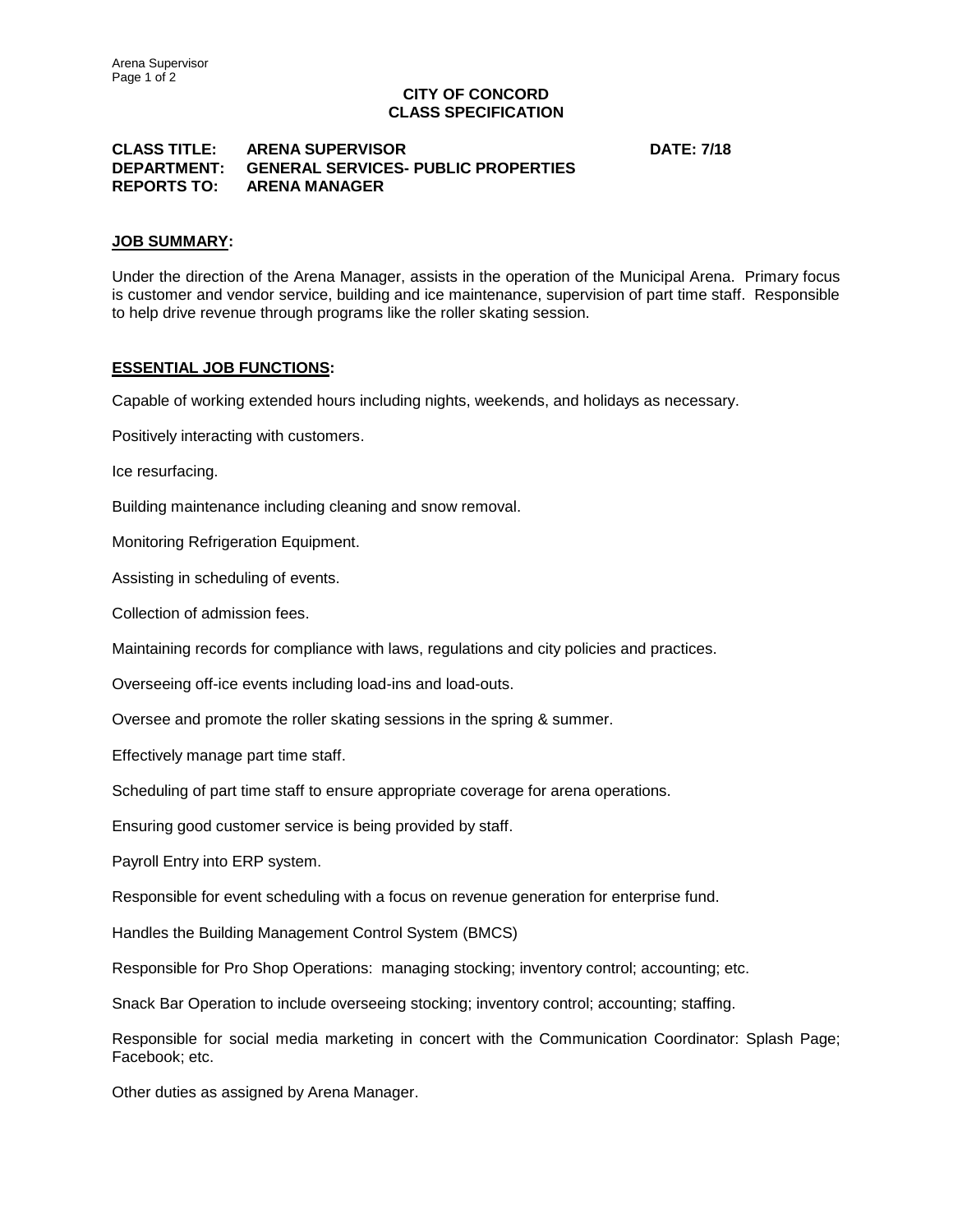# **CITY OF CONCORD CLASS SPECIFICATION**

### **CLASS TITLE: ARENA SUPERVISOR DATE: 7/18 DEPARTMENT: GENERAL SERVICES- PUBLIC PROPERTIES REPORTS TO: ARENA MANAGER**

# **JOB SUMMARY:**

Under the direction of the Arena Manager, assists in the operation of the Municipal Arena. Primary focus is customer and vendor service, building and ice maintenance, supervision of part time staff. Responsible to help drive revenue through programs like the roller skating session.

### **ESSENTIAL JOB FUNCTIONS:**

Capable of working extended hours including nights, weekends, and holidays as necessary.

Positively interacting with customers.

Ice resurfacing.

Building maintenance including cleaning and snow removal.

Monitoring Refrigeration Equipment.

Assisting in scheduling of events.

Collection of admission fees.

Maintaining records for compliance with laws, regulations and city policies and practices.

Overseeing off-ice events including load-ins and load-outs.

Oversee and promote the roller skating sessions in the spring & summer.

Effectively manage part time staff.

Scheduling of part time staff to ensure appropriate coverage for arena operations.

Ensuring good customer service is being provided by staff.

Payroll Entry into ERP system.

Responsible for event scheduling with a focus on revenue generation for enterprise fund.

Handles the Building Management Control System (BMCS)

Responsible for Pro Shop Operations: managing stocking; inventory control; accounting; etc.

Snack Bar Operation to include overseeing stocking; inventory control; accounting; staffing.

Responsible for social media marketing in concert with the Communication Coordinator: Splash Page; Facebook; etc.

Other duties as assigned by Arena Manager.